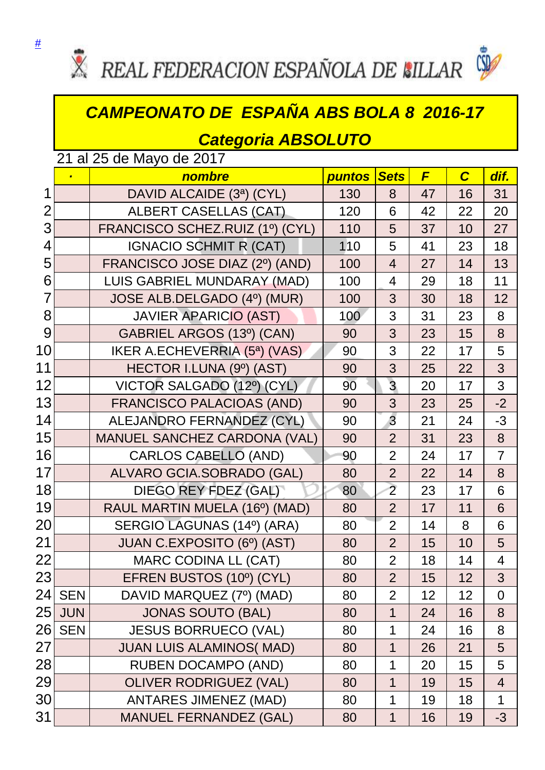



## *CAMPEONATO DE ESPAÑA ABS BOLA 8 2016-17*

## *Categoria ABSOLUTO*

|                 | 21 al 25 de Mayo de 2017 |                                     |        |                |    |                |                |  |
|-----------------|--------------------------|-------------------------------------|--------|----------------|----|----------------|----------------|--|
|                 |                          | nombre                              | puntos | <b>Sets</b>    | F  | $\overline{c}$ | dif.           |  |
| 1               |                          | DAVID ALCAIDE (3ª) (CYL)            | 130    | 8              | 47 | 16             | 31             |  |
| 2               |                          | <b>ALBERT CASELLAS (CAT)</b>        | 120    | 6              | 42 | 22             | 20             |  |
| 3               |                          | FRANCISCO SCHEZ.RUIZ (1º) (CYL)     | 110    | 5              | 37 | 10             | 27             |  |
| 4               |                          | <b>IGNACIO SCHMIT R (CAT)</b>       | 110    | 5              | 41 | 23             | 18             |  |
| 5               |                          | FRANCISCO JOSE DIAZ (2º) (AND)      | 100    | $\overline{4}$ | 27 | 14             | 13             |  |
| 6               |                          | LUIS GABRIEL MUNDARAY (MAD)         | 100    | $\overline{4}$ | 29 | 18             | 11             |  |
| $\overline{7}$  |                          | JOSE ALB.DELGADO (4º) (MUR)         | 100    | 3              | 30 | 18             | 12             |  |
| 8               |                          | <b>JAVIER APARICIO (AST)</b>        | 100    | 3              | 31 | 23             | 8              |  |
| 9               |                          | GABRIEL ARGOS (13º) (CAN)           | 90     | 3              | 23 | 15             | 8              |  |
| 10              |                          | IKER A.ECHEVERRIA (5ª) (VAS)        | 90     | 3              | 22 | 17             | 5              |  |
| 11              |                          | HECTOR I.LUNA (9º) (AST)            | 90     | 3              | 25 | 22             | 3              |  |
| 12              |                          | VICTOR SALGADO (12º) (CYL)          | 90     | $\overline{3}$ | 20 | 17             | 3              |  |
| 13              |                          | <b>FRANCISCO PALACIOAS (AND)</b>    | 90     | 3              | 23 | 25             | $-2$           |  |
| 14              |                          | ALEJANDRO FERNANDEZ (CYL)           | 90     | 3              | 21 | 24             | $-3$           |  |
| 15              |                          | <b>MANUEL SANCHEZ CARDONA (VAL)</b> | 90     | $\overline{2}$ | 31 | 23             | 8              |  |
| 16              |                          | <b>CARLOS CABELLO (AND)</b>         | 90     | $\overline{2}$ | 24 | 17             | $\overline{7}$ |  |
| 17              |                          | ALVARO GCIA.SOBRADO (GAL)           | 80     | $\overline{2}$ | 22 | 14             | 8              |  |
| 18              |                          | DIEGO REY FDEZ (GAL)                | 80     | $\overline{2}$ | 23 | 17             | 6              |  |
| 19              |                          | RAUL MARTIN MUELA (16°) (MAD)       | 80     | $\overline{2}$ | 17 | 11             | 6              |  |
| 20              |                          | SERGIO LAGUNAS (14º) (ARA)          | 80     | $\overline{2}$ | 14 | 8              | 6              |  |
| 21              |                          | JUAN C.EXPOSITO (6º) (AST)          | 80     | $\overline{2}$ | 15 | 10             | 5              |  |
| 22              |                          | <b>MARC CODINA LL (CAT)</b>         | 80     | $\overline{2}$ | 18 | 14             | 4              |  |
| 23              |                          | EFREN BUSTOS (10°) (CYL)            | 80     | $\overline{2}$ | 15 | 12             | 3              |  |
| 24 <sub>l</sub> | <b>SEN</b>               | DAVID MARQUEZ (7º) (MAD)            | 80     | $\overline{2}$ | 12 | 12             | $\overline{0}$ |  |
| 25              | <b>JUN</b>               | <b>JONAS SOUTO (BAL)</b>            | 80     | 1              | 24 | 16             | 8              |  |
| 26              | <b>SEN</b>               | <b>JESUS BORRUECO (VAL)</b>         | 80     | 1              | 24 | 16             | 8              |  |
| 27              |                          | <b>JUAN LUIS ALAMINOS(MAD)</b>      | 80     | 1              | 26 | 21             | 5              |  |
| 28              |                          | <b>RUBEN DOCAMPO (AND)</b>          | 80     | 1              | 20 | 15             | 5              |  |
| 29              |                          | <b>OLIVER RODRIGUEZ (VAL)</b>       | 80     | 1              | 19 | 15             | $\overline{4}$ |  |
| 30              |                          | <b>ANTARES JIMENEZ (MAD)</b>        | 80     | 1              | 19 | 18             | $\mathbf 1$    |  |
| 31              |                          | <b>MANUEL FERNANDEZ (GAL)</b>       | 80     | 1              | 16 | 19             | $-3$           |  |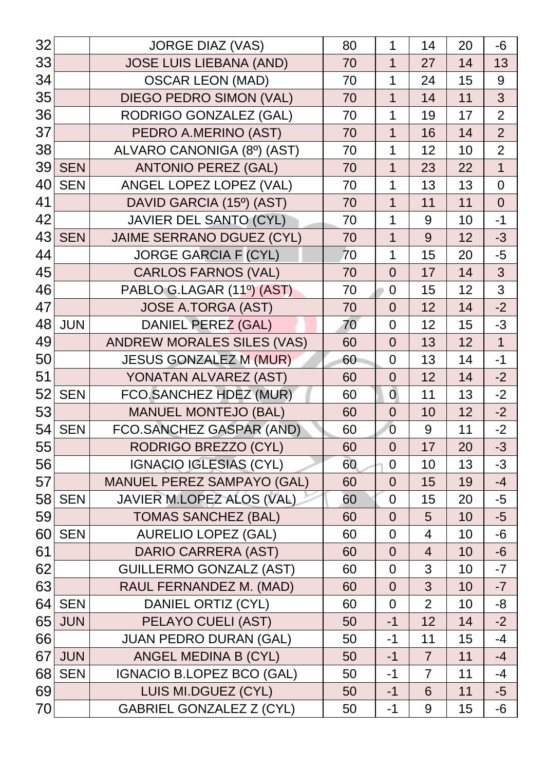| 32              |            | <b>JORGE DIAZ (VAS)</b>           | 80 | 1              | 14             | 20 | $-6$           |
|-----------------|------------|-----------------------------------|----|----------------|----------------|----|----------------|
| 33              |            | <b>JOSE LUIS LIEBANA (AND)</b>    | 70 | 1              | 27             | 14 | 13             |
| 34              |            | <b>OSCAR LEON (MAD)</b>           | 70 | 1              | 24             | 15 | 9              |
| 35              |            | <b>DIEGO PEDRO SIMON (VAL)</b>    | 70 | 1              | 14             | 11 | 3              |
| 36              |            | RODRIGO GONZALEZ (GAL)            | 70 | 1              | 19             | 17 | $\overline{2}$ |
| 37              |            | PEDRO A.MERINO (AST)              | 70 | 1              | 16             | 14 | $\overline{2}$ |
| 38              |            | ALVARO CANONIGA (8º) (AST)        | 70 | 1              | 12             | 10 | $\overline{2}$ |
| 39              | <b>SEN</b> | <b>ANTONIO PEREZ (GAL)</b>        | 70 | 1              | 23             | 22 | $\overline{1}$ |
| 40 <sub>l</sub> | <b>SEN</b> | ANGEL LOPEZ LOPEZ (VAL)           | 70 | 1              | 13             | 13 | $\overline{0}$ |
| 41              |            | DAVID GARCIA (15º) (AST)          | 70 | 1              | 11             | 11 | $\overline{0}$ |
| 42              |            | <b>JAVIER DEL SANTO (CYL)</b>     | 70 | 1              | 9              | 10 | $-1$           |
| 43              | <b>SEN</b> | <b>JAIME SERRANO DGUEZ (CYL)</b>  | 70 | 1              | 9              | 12 | $-3$           |
| 44              |            | <b>JORGE GARCIA F (CYL)</b>       | 70 | 1              | 15             | 20 | $-5$           |
| 45              |            | <b>CARLOS FARNOS (VAL)</b>        | 70 | $\overline{0}$ | 17             | 14 | 3              |
| 46              |            | PABLO G.LAGAR (11º) (AST)         | 70 | $\overline{0}$ | 15             | 12 | 3              |
| 47              |            | <b>JOSE A.TORGA (AST)</b>         | 70 | $\overline{0}$ | 12             | 14 | $-2$           |
| 48              | <b>JUN</b> | DANIEL PEREZ (GAL)                | 70 | $\overline{0}$ | 12             | 15 | $-3$           |
| 49              |            | <b>ANDREW MORALES SILES (VAS)</b> | 60 | $\overline{0}$ | 13             | 12 | $\mathbf{1}$   |
| 50              |            | <b>JESUS GONZALEZ M (MUR)</b>     | 60 | $\overline{0}$ | 13             | 14 | $-1$           |
| 51              |            | YONATAN ALVAREZ (AST)             | 60 | $\overline{0}$ | 12             | 14 | $-2$           |
| 52              | <b>SEN</b> | FCO.SANCHEZ HDEZ (MUR)            | 60 | $\overline{0}$ | 11             | 13 | $-2$           |
| 53              |            | <b>MANUEL MONTEJO (BAL)</b>       | 60 | $\overline{0}$ | 10             | 12 | $-2$           |
| 54              | <b>SEN</b> | FCO.SANCHEZ GASPAR (AND)          | 60 | $\overline{0}$ | 9              | 11 | $-2$           |
| 55              |            | RODRIGO BREZZO (CYL)              | 60 | $\overline{0}$ | 17             | 20 | $-3$           |
| 56              |            | <b>IGNACIO IGLESIAS (CYL)</b>     | 60 | $\mathbf 0$    | 10             | 13 | $-3$           |
| 57              |            | <b>MANUEL PEREZ SAMPAYO (GAL)</b> | 60 | $\overline{0}$ | 15             | 19 | $-4$           |
|                 | 58 SEN     | JAVIER M.LOPEZ ALOS (VAL)         | 60 | $\overline{0}$ | 15             | 20 | $-5$           |
| 59              |            | <b>TOMAS SANCHEZ (BAL)</b>        | 60 | $\overline{0}$ | 5              | 10 | $-5$           |
| 60              | <b>SEN</b> | <b>AURELIO LOPEZ (GAL)</b>        | 60 | $\overline{0}$ | $\overline{4}$ | 10 | $-6$           |
| 61              |            | <b>DARIO CARRERA (AST)</b>        | 60 | $\overline{0}$ | $\overline{4}$ | 10 | $-6$           |
| 62              |            | <b>GUILLERMO GONZALZ (AST)</b>    | 60 | $\overline{0}$ | 3              | 10 | $-7$           |
| 63              |            | RAUL FERNANDEZ M. (MAD)           | 60 | $\overline{0}$ | 3              | 10 | $-7$           |
| 64              | <b>SEN</b> | DANIEL ORTIZ (CYL)                | 60 | $\overline{0}$ | $\overline{2}$ | 10 | -8             |
| 65              | <b>JUN</b> | PELAYO CUELI (AST)                | 50 | $-1$           | 12             | 14 | $-2$           |
| 66              |            | <b>JUAN PEDRO DURAN (GAL)</b>     | 50 | $-1$           | 11             | 15 | $-4$           |
| 67              | <b>JUN</b> | ANGEL MEDINA B (CYL)              | 50 | $-1$           | $\overline{7}$ | 11 | $-4$           |
| 68              | <b>SEN</b> | <b>IGNACIO B.LOPEZ BCO (GAL)</b>  | 50 | $-1$           | $\overline{7}$ | 11 | $-4$           |
| 69              |            | LUIS MI.DGUEZ (CYL)               | 50 | $-1$           | 6              | 11 | $-5$           |
| 70              |            | <b>GABRIEL GONZALEZ Z (CYL)</b>   | 50 | $-1$           | 9              | 15 | -6             |